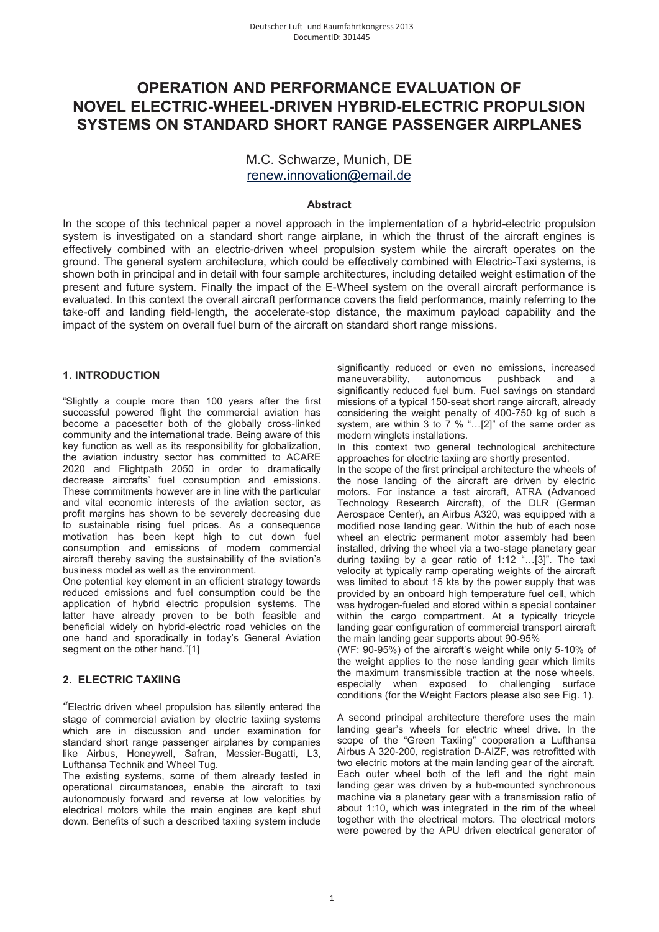# **OPERATION AND PERFORMANCE EVALUATION OF NOVEL ELECTRIC-WHEEL-DRIVEN HYBRID-ELECTRIC PROPULSION SYSTEMS ON STANDARD SHORT RANGE PASSENGER AIRPLANES**

# M.C. Schwarze, Munich, DE renew.innovation@email.de

# **Abstract**

In the scope of this technical paper a novel approach in the implementation of a hybrid-electric propulsion system is investigated on a standard short range airplane, in which the thrust of the aircraft engines is effectively combined with an electric-driven wheel propulsion system while the aircraft operates on the ground. The general system architecture, which could be effectively combined with Electric-Taxi systems, is shown both in principal and in detail with four sample architectures, including detailed weight estimation of the present and future system. Finally the impact of the E-Wheel system on the overall aircraft performance is evaluated. In this context the overall aircraft performance covers the field performance, mainly referring to the take-off and landing field-length, the accelerate-stop distance, the maximum payload capability and the impact of the system on overall fuel burn of the aircraft on standard short range missions.

# **1. INTRODUCTION**

"Slightly a couple more than 100 years after the first successful powered flight the commercial aviation has become a pacesetter both of the globally cross-linked community and the international trade. Being aware of this key function as well as its responsibility for globalization, the aviation industry sector has committed to ACARE 2020 and Flightpath 2050 in order to dramatically decrease aircrafts' fuel consumption and emissions. These commitments however are in line with the particular and vital economic interests of the aviation sector, as profit margins has shown to be severely decreasing due to sustainable rising fuel prices. As a consequence motivation has been kept high to cut down fuel consumption and emissions of modern commercial aircraft thereby saving the sustainability of the aviation's business model as well as the environment.

One potential key element in an efficient strategy towards reduced emissions and fuel consumption could be the application of hybrid electric propulsion systems. The latter have already proven to be both feasible and beneficial widely on hybrid-electric road vehicles on the one hand and sporadically in today's General Aviation segment on the other hand."[1]

# **2. ELECTRIC TAXIING**

"Electric driven wheel propulsion has silently entered the stage of commercial aviation by electric taxiing systems which are in discussion and under examination for standard short range passenger airplanes by companies like Airbus, Honeywell, Safran, Messier-Bugatti, L3, Lufthansa Technik and Wheel Tug.

The existing systems, some of them already tested in operational circumstances, enable the aircraft to taxi autonomously forward and reverse at low velocities by electrical motors while the main engines are kept shut down. Benefits of such a described taxiing system include significantly reduced or even no emissions, increased maneuverability, autonomous pushback and a significantly reduced fuel burn. Fuel savings on standard missions of a typical 150-seat short range aircraft, already considering the weight penalty of 400-750 kg of such a system, are within 3 to 7 % "...[2]" of the same order as modern winglets installations.

In this context two general technological architecture approaches for electric taxiing are shortly presented.

In the scope of the first principal architecture the wheels of the nose landing of the aircraft are driven by electric motors. For instance a test aircraft, ATRA (Advanced Technology Research Aircraft), of the DLR (German Aerospace Center), an Airbus A320, was equipped with a modified nose landing gear. Within the hub of each nose wheel an electric permanent motor assembly had been installed, driving the wheel via a two-stage planetary gear during taxiing by a gear ratio of 1:12 "…[3]". The taxi velocity at typically ramp operating weights of the aircraft was limited to about 15 kts by the power supply that was provided by an onboard high temperature fuel cell, which was hydrogen-fueled and stored within a special container within the cargo compartment. At a typically tricycle landing gear configuration of commercial transport aircraft the main landing gear supports about 90-95%

(WF: 90-95%) of the aircraft's weight while only 5-10% of the weight applies to the nose landing gear which limits the maximum transmissible traction at the nose wheels, especially when exposed to challenging surface conditions (for the Weight Factors please also see Fig. 1).

A second principal architecture therefore uses the main landing gear's wheels for electric wheel drive. In the scope of the "Green Taxiing" cooperation a Lufthansa Airbus A 320-200, registration D-AIZF, was retrofitted with two electric motors at the main landing gear of the aircraft. Each outer wheel both of the left and the right main landing gear was driven by a hub-mounted synchronous machine via a planetary gear with a transmission ratio of about 1:10, which was integrated in the rim of the wheel together with the electrical motors. The electrical motors were powered by the APU driven electrical generator of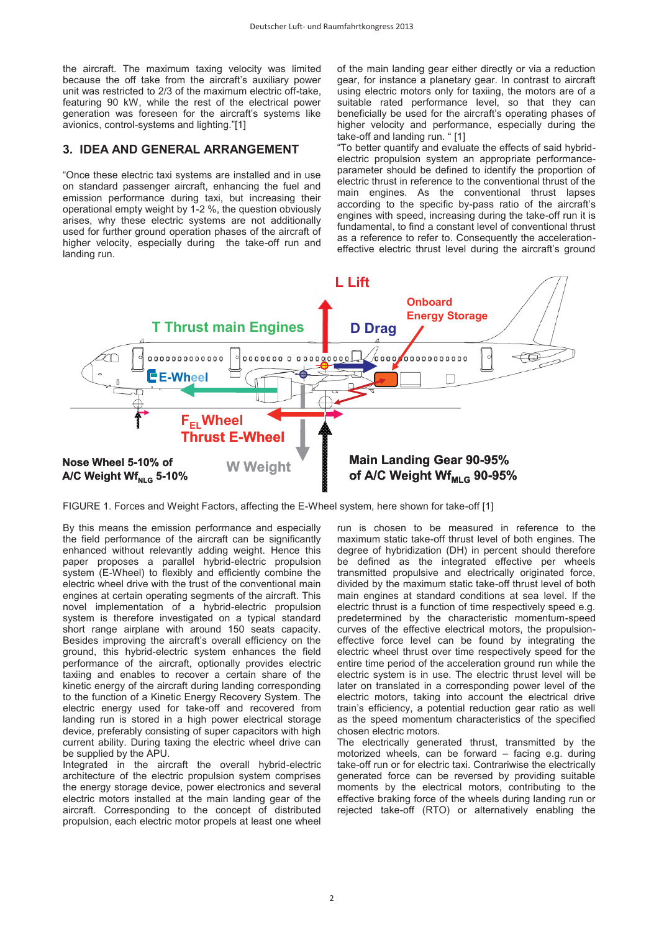the aircraft. The maximum taxing velocity was limited because the off take from the aircraft's auxiliary power unit was restricted to 2/3 of the maximum electric off-take, featuring 90 kW, while the rest of the electrical power generation was foreseen for the aircraft's systems like avionics, control-systems and lighting."[1]

# **3. IDEA AND GENERAL ARRANGEMENT**

"Once these electric taxi systems are installed and in use on standard passenger aircraft, enhancing the fuel and emission performance during taxi, but increasing their operational empty weight by 1-2 %, the question obviously arises, why these electric systems are not additionally used for further ground operation phases of the aircraft of higher velocity, especially during the take-off run and landing run.

of the main landing gear either directly or via a reduction gear, for instance a planetary gear. In contrast to aircraft using electric motors only for taxiing, the motors are of a suitable rated performance level, so that they can beneficially be used for the aircraft's operating phases of higher velocity and performance, especially during the take-off and landing run. " [1]

"To better quantify and evaluate the effects of said hybridelectric propulsion system an appropriate performanceparameter should be defined to identify the proportion of electric thrust in reference to the conventional thrust of the main engines. As the conventional thrust lapses according to the specific by-pass ratio of the aircraft's engines with speed, increasing during the take-off run it is fundamental, to find a constant level of conventional thrust as a reference to refer to. Consequently the accelerationeffective electric thrust level during the aircraft's ground



FIGURE 1. Forces and Weight Factors, affecting the E-Wheel system, here shown for take-off [1]

By this means the emission performance and especially the field performance of the aircraft can be significantly enhanced without relevantly adding weight. Hence this paper proposes a parallel hybrid-electric propulsion system (E-Wheel) to flexibly and efficiently combine the electric wheel drive with the trust of the conventional main engines at certain operating segments of the aircraft. This novel implementation of a hybrid-electric propulsion system is therefore investigated on a typical standard short range airplane with around 150 seats capacity. Besides improving the aircraft's overall efficiency on the ground, this hybrid-electric system enhances the field performance of the aircraft, optionally provides electric taxiing and enables to recover a certain share of the kinetic energy of the aircraft during landing corresponding to the function of a Kinetic Energy Recovery System. The electric energy used for take-off and recovered from landing run is stored in a high power electrical storage device, preferably consisting of super capacitors with high current ability. During taxing the electric wheel drive can be supplied by the APU.

Integrated in the aircraft the overall hybrid-electric architecture of the electric propulsion system comprises the energy storage device, power electronics and several electric motors installed at the main landing gear of the aircraft. Corresponding to the concept of distributed propulsion, each electric motor propels at least one wheel

run is chosen to be measured in reference to the maximum static take-off thrust level of both engines. The degree of hybridization (DH) in percent should therefore be defined as the integrated effective per wheels transmitted propulsive and electrically originated force, divided by the maximum static take-off thrust level of both main engines at standard conditions at sea level. If the electric thrust is a function of time respectively speed e.g. predetermined by the characteristic momentum-speed curves of the effective electrical motors, the propulsioneffective force level can be found by integrating the electric wheel thrust over time respectively speed for the entire time period of the acceleration ground run while the electric system is in use. The electric thrust level will be later on translated in a corresponding power level of the electric motors, taking into account the electrical drive train's efficiency, a potential reduction gear ratio as well as the speed momentum characteristics of the specified chosen electric motors.

The electrically generated thrust, transmitted by the motorized wheels, can be forward – facing e.g. during take-off run or for electric taxi. Contrariwise the electrically generated force can be reversed by providing suitable moments by the electrical motors, contributing to the effective braking force of the wheels during landing run or rejected take-off (RTO) or alternatively enabling the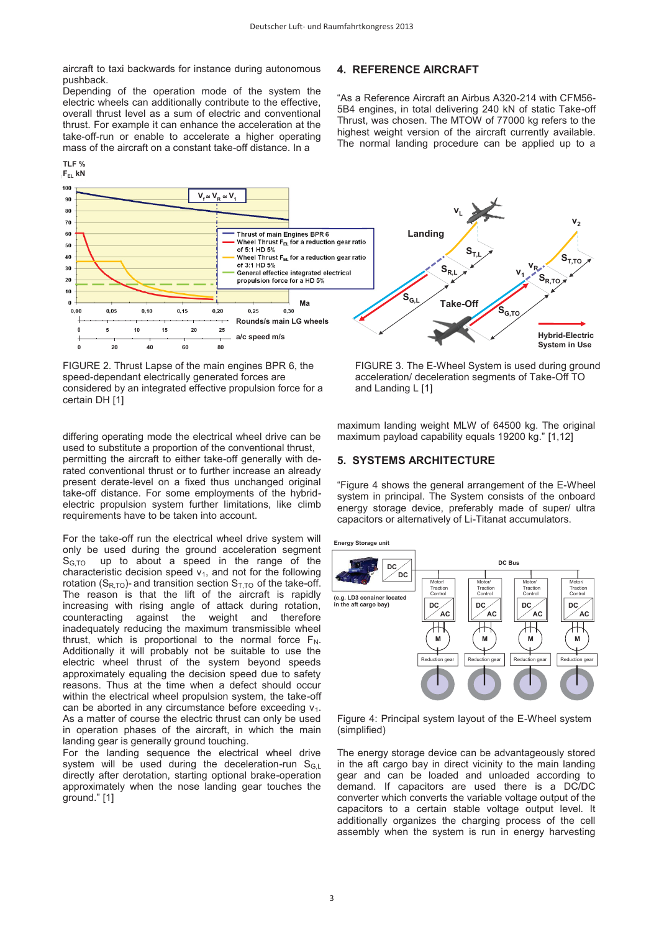aircraft to taxi backwards for instance during autonomous pushback.

Depending of the operation mode of the system the electric wheels can additionally contribute to the effective, overall thrust level as a sum of electric and conventional thrust. For example it can enhance the acceleration at the take-off-run or enable to accelerate a higher operating mass of the aircraft on a constant take-off distance. In a

#### **LF % TLF % %**



FIGURE 2. Thrust Lapse of the main engines BPR 6, the speed-dependant electrically generated forces are considered by an integrated effective propulsion force for a certain DH [1]

differing operating mode the electrical wheel drive can be used to substitute a proportion of the conventional thrust, permitting the aircraft to either take-off generally with derated conventional thrust or to further increase an already present derate-level on a fixed thus unchanged original take-off distance. For some employments of the hybridelectric propulsion system further limitations, like climb requirements have to be taken into account.

For the take-off run the electrical wheel drive system will only be used during the ground acceleration segment  $S<sub>G,TO</sub>$  up to about a speed in the range of the characteristic decision speed  $v_1$ , and not for the following rotation ( $S_{R,TO}$ )- and transition section  $S_{T,TO}$  of the take-off. The reason is that the lift of the aircraft is rapidly increasing with rising angle of attack during rotation, counteracting against the weight and therefore inadequately reducing the maximum transmissible wheel thrust, which is proportional to the normal force  $F_N$ . Additionally it will probably not be suitable to use the electric wheel thrust of the system beyond speeds approximately equaling the decision speed due to safety reasons. Thus at the time when a defect should occur within the electrical wheel propulsion system, the take-off can be aborted in any circumstance before exceeding v<sub>1</sub>. As a matter of course the electric thrust can only be used in operation phases of the aircraft, in which the main landing gear is generally ground touching.

For the landing sequence the electrical wheel drive system will be used during the deceleration-run  $S_{GL}$ directly after derotation, starting optional brake-operation approximately when the nose landing gear touches the ground." [1]

# **4. REFERENCE AIRCRAFT**

"As a Reference Aircraft an Airbus A320-214 with CFM56- 5B4 engines, in total delivering 240 kN of static Take-off Thrust, was chosen. The MTOW of 77000 kg refers to the highest weight version of the aircraft currently available. The normal landing procedure can be applied up to a



FIGURE 3. The E-Wheel System is used during ground acceleration/ deceleration segments of Take-Off TO and Landing L [1]

maximum landing weight MLW of 64500 kg. The original maximum payload capability equals 19200 kg." [1,12]

#### **5. SYSTEMS ARCHITECTURE**

"Figure 4 shows the general arrangement of the E-Wheel system in principal. The System consists of the onboard energy storage device, preferably made of super/ ultra capacitors or alternatively of Li-Titanat accumulators.

**Energy Storage unit**



Figure 4: Principal system layout of the E-Wheel system (simplified)

The energy storage device can be advantageously stored in the aft cargo bay in direct vicinity to the main landing gear and can be loaded and unloaded according to demand. If capacitors are used there is a DC/DC converter which converts the variable voltage output of the capacitors to a certain stable voltage output level. It additionally organizes the charging process of the cell assembly when the system is run in energy harvesting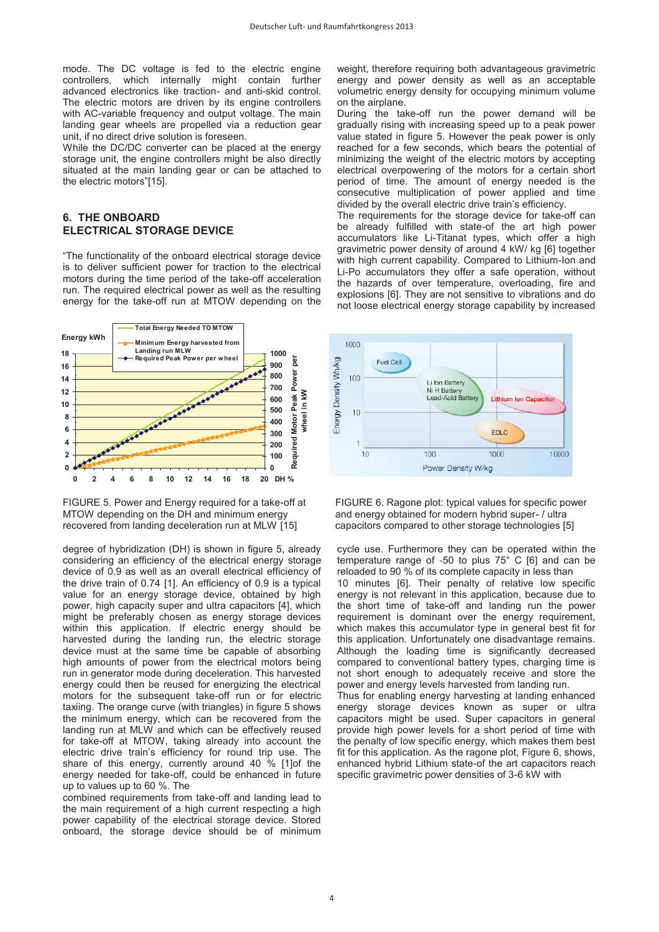mode. The DC voltage is fed to the electric engine controllers, which internally might contain further advanced electronics like traction- and anti-skid control. The electric motors are driven by its engine controllers with AC-variable frequency and output voltage. The main landing gear wheels are propelled via a reduction gear unit, if no direct drive solution is foreseen.

While the DC/DC converter can be placed at the energy storage unit, the engine controllers might be also directly situated at the main landing gear or can be attached to the electric motors"[15].

# **6. THE ONBOARD ELECTRICAL STORAGE DEVICE**

"The functionality of the onboard electrical storage device is to deliver sufficient power for traction to the electrical motors during the time period of the take-off acceleration run. The required electrical power as well as the resulting energy for the take-off run at MTOW depending on the



FIGURE 5. Power and Energy required for a take-off at MTOW depending on the DH and minimum energy recovered from landing deceleration run at MLW [15]

degree of hybridization (DH) is shown in figure 5, already considering an efficiency of the electrical energy storage device of 0.9 as well as an overall electrical efficiency of the drive train of 0.74 [1]. An efficiency of 0.9 is a typical value for an energy storage device, obtained by high power, high capacity super and ultra capacitors [4], which might be preferably chosen as energy storage devices within this application. If electric energy should be harvested during the landing run, the electric storage device must at the same time be capable of absorbing high amounts of power from the electrical motors being run in generator mode during deceleration. This harvested energy could then be reused for energizing the electrical motors for the subsequent take-off run or for electric taxiing. The orange curve (with triangles) in figure 5 shows the minimum energy, which can be recovered from the landing run at MLW and which can be effectively reused for take-off at MTOW, taking already into account the electric drive train's efficiency for round trip use. The share of this energy, currently around 40 % [1]of the energy needed for take-off, could be enhanced in future up to values up to 60 %. The

combined requirements from take-off and landing lead to the main requirement of a high current respecting a high power capability of the electrical storage device. Stored onboard, the storage device should be of minimum weight, therefore requiring both advantageous gravimetric energy and power density as well as an acceptable volumetric energy density for occupying minimum volume on the airplane.

During the take-off run the power demand will be gradually rising with increasing speed up to a peak power value stated in figure 5. However the peak power is only reached for a few seconds, which bears the potential of minimizing the weight of the electric motors by accepting electrical overpowering of the motors for a certain short period of time. The amount of energy needed is the consecutive multiplication of power applied and time divided by the overall electric drive train's efficiency.

The requirements for the storage device for take-off can be already fulfilled with state-of the art high power accumulators like Li-Titanat types, which offer a high gravimetric power density of around 4 kW/ kg [6] together with high current capability. Compared to Lithium-Ion and Li-Po accumulators they offer a safe operation, without the hazards of over temperature, overloading, fire and explosions [6]. They are not sensitive to vibrations and do not loose electrical energy storage capability by increased



FIGURE 6. Ragone plot: typical values for specific power and energy obtained for modern hybrid super- / ultra capacitors compared to other storage technologies [5]

cycle use. Furthermore they can be operated within the temperature range of -50 to plus 75° C [6] and can be reloaded to 90 % of its complete capacity in less than 10 minutes [6]. Their penalty of relative low specific energy is not relevant in this application, because due to the short time of take-off and landing run the power requirement is dominant over the energy requirement, which makes this accumulator type in general best fit for this application. Unfortunately one disadvantage remains. Although the loading time is significantly decreased compared to conventional battery types, charging time is not short enough to adequately receive and store the power and energy levels harvested from landing run. Thus for enabling energy harvesting at landing enhanced

energy storage devices known as super or ultra capacitors might be used. Super capacitors in general provide high power levels for a short period of time with the penalty of low specific energy, which makes them best fit for this application. As the ragone plot, Figure 6, shows, enhanced hybrid Lithium state-of the art capacitors reach specific gravimetric power densities of 3-6 kW with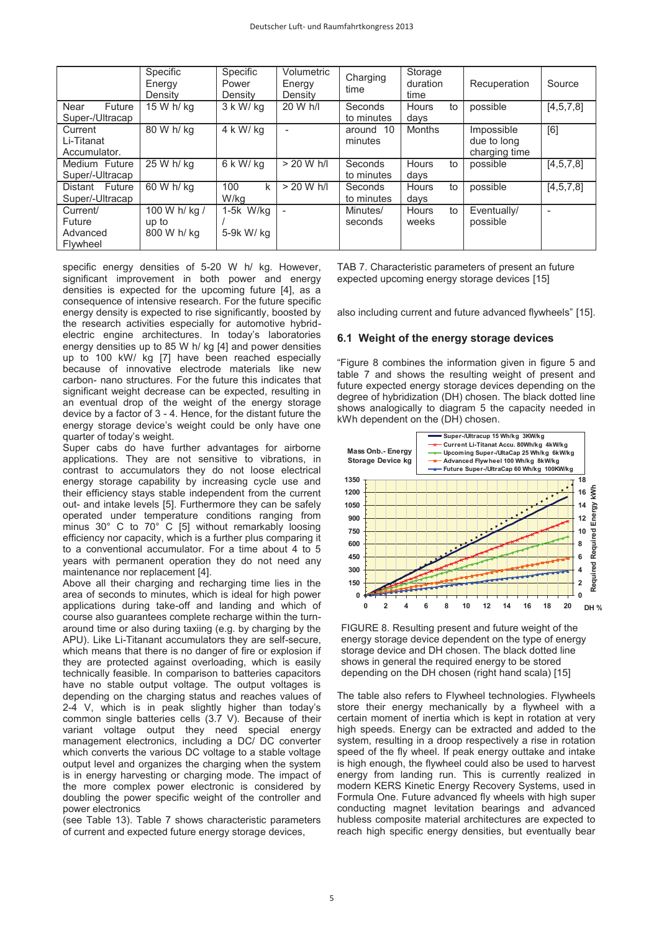|                                            | Specific<br>Energy<br>Density         | Specific<br>Power<br>Density | Volumetric<br>Energy<br>Density | Charging<br>time      | Storage<br>duration<br>time | Recuperation                               | Source    |
|--------------------------------------------|---------------------------------------|------------------------------|---------------------------------|-----------------------|-----------------------------|--------------------------------------------|-----------|
| Future<br>Near<br>Super-/Ultracap          | 15 W h/ ka                            | $3$ k W/ kg                  | 20 W h/l                        | Seconds<br>to minutes | Hours<br>to<br>days         | possible                                   | [4,5,7,8] |
| Current<br>Li-Titanat<br>Accumulator.      | 80 W h/ ka                            | 4 k W/ ka                    |                                 | around 10<br>minutes  | <b>Months</b>               | Impossible<br>due to long<br>charging time | [6]       |
| Medium Future<br>Super/-Ultracap           | 25 W h/ kg                            | 6 k W/ kg                    | $> 20$ W h/l                    | Seconds<br>to minutes | Hours<br>to<br>days         | possible                                   | [4,5,7,8] |
| Distant Future<br>Super/-Ultracap          | 60 W h/ kg                            | 100<br>k<br>W/kg             | $> 20$ W h/l                    | Seconds<br>to minutes | to<br><b>Hours</b><br>days  | possible                                   | [4,5,7,8] |
| Current/<br>Future<br>Advanced<br>Flywheel | 100 W h/ kg /<br>up to<br>800 W h/ kg | 1-5k W/ka<br>5-9k W/ kg      | L,                              | Minutes/<br>seconds   | to<br><b>Hours</b><br>weeks | Eventually/<br>possible                    |           |

specific energy densities of 5-20 W h/ kg. However, significant improvement in both power and energy densities is expected for the upcoming future [4], as a consequence of intensive research. For the future specific energy density is expected to rise significantly, boosted by the research activities especially for automotive hybridelectric engine architectures. In today's laboratories energy densities up to 85 W h/ kg [4] and power densities up to 100 kW/ kg [7] have been reached especially because of innovative electrode materials like new carbon- nano structures. For the future this indicates that significant weight decrease can be expected, resulting in an eventual drop of the weight of the energy storage device by a factor of 3 - 4. Hence, for the distant future the energy storage device's weight could be only have one quarter of today's weight.

Super cabs do have further advantages for airborne applications. They are not sensitive to vibrations, in contrast to accumulators they do not loose electrical energy storage capability by increasing cycle use and their efficiency stays stable independent from the current out- and intake levels [5]. Furthermore they can be safely operated under temperature conditions ranging from minus 30° C to 70° C [5] without remarkably loosing efficiency nor capacity, which is a further plus comparing it to a conventional accumulator. For a time about 4 to 5 years with permanent operation they do not need any maintenance nor replacement [4].

Above all their charging and recharging time lies in the area of seconds to minutes, which is ideal for high power applications during take-off and landing and which of course also guarantees complete recharge within the turnaround time or also during taxiing (e.g. by charging by the APU). Like Li-Titanant accumulators they are self-secure, which means that there is no danger of fire or explosion if they are protected against overloading, which is easily technically feasible. In comparison to batteries capacitors have no stable output voltage. The output voltages is depending on the charging status and reaches values of 2-4 V, which is in peak slightly higher than today's common single batteries cells (3.7 V). Because of their variant voltage output they need special energy management electronics, including a DC/ DC converter which converts the various DC voltage to a stable voltage output level and organizes the charging when the system is in energy harvesting or charging mode. The impact of the more complex power electronic is considered by doubling the power specific weight of the controller and power electronics

(see Table 13). Table 7 shows characteristic parameters of current and expected future energy storage devices,

TAB 7. Characteristic parameters of present an future expected upcoming energy storage devices [15]

also including current and future advanced flywheels" [15].

### **6.1 Weight of the energy storage devices**

"Figure 8 combines the information given in figure 5 and table 7 and shows the resulting weight of present and future expected energy storage devices depending on the degree of hybridization (DH) chosen. The black dotted line shows analogically to diagram 5 the capacity needed in kWh dependent on the (DH) chosen.



FIGURE 8. Resulting present and future weight of the energy storage device dependent on the type of energy storage device and DH chosen. The black dotted line shows in general the required energy to be stored depending on the DH chosen (right hand scala) [15]

The table also refers to Flywheel technologies. Flywheels store their energy mechanically by a flywheel with a certain moment of inertia which is kept in rotation at very high speeds. Energy can be extracted and added to the system, resulting in a droop respectively a rise in rotation speed of the fly wheel. If peak energy outtake and intake is high enough, the flywheel could also be used to harvest energy from landing run. This is currently realized in modern KERS Kinetic Energy Recovery Systems, used in Formula One. Future advanced fly wheels with high super conducting magnet levitation bearings and advanced hubless composite material architectures are expected to reach high specific energy densities, but eventually bear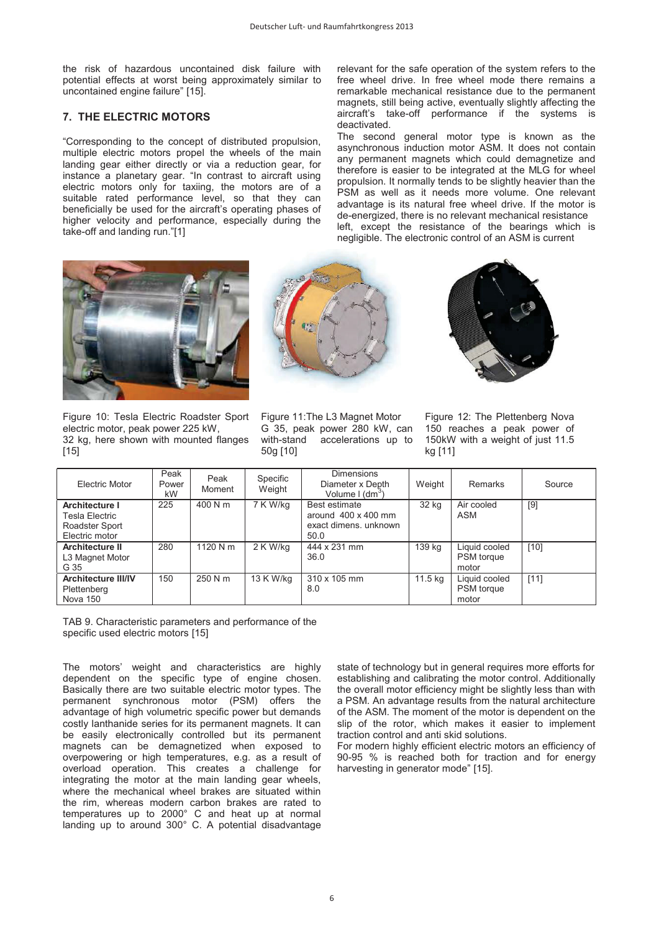the risk of hazardous uncontained disk failure with potential effects at worst being approximately similar to uncontained engine failure" [15].

#### **7. THE ELECTRIC MOTORS**

"Corresponding to the concept of distributed propulsion, multiple electric motors propel the wheels of the main landing gear either directly or via a reduction gear, for instance a planetary gear. "In contrast to aircraft using electric motors only for taxiing, the motors are of a suitable rated performance level, so that they can beneficially be used for the aircraft's operating phases of higher velocity and performance, especially during the take-off and landing run."[1]

relevant for the safe operation of the system refers to the free wheel drive. In free wheel mode there remains a remarkable mechanical resistance due to the permanent magnets, still being active, eventually slightly affecting the aircraft's take-off performance if the systems is deactivated.

The second general motor type is known as the asynchronous induction motor ASM. It does not contain any permanent magnets which could demagnetize and therefore is easier to be integrated at the MLG for wheel propulsion. It normally tends to be slightly heavier than the PSM as well as it needs more volume. One relevant advantage is its natural free wheel drive. If the motor is de-energized, there is no relevant mechanical resistance left, except the resistance of the bearings which is negligible. The electronic control of an ASM is current



Figure 10: Tesla Electric Roadster Sport electric motor, peak power 225 kW, 32 kg, here shown with mounted flanges [15]



Figure 11:The L3 Magnet Motor G 35, peak power 280 kW, can with-stand accelerations up to 50g [10]



Figure 12: The Plettenberg Nova 150 reaches a peak power of 150kW with a weight of just 11.5 kg [11]

| <b>Electric Motor</b>                                                | Peak<br>Power<br>kW | Peak<br>Moment | Specific<br>Weight | <b>Dimensions</b><br>Diameter x Depth<br>Volume I (dm <sup>3</sup> )         | Weight  | Remarks                                     | Source |
|----------------------------------------------------------------------|---------------------|----------------|--------------------|------------------------------------------------------------------------------|---------|---------------------------------------------|--------|
| Architecture I<br>Tesla Electric<br>Roadster Sport<br>Electric motor | 225                 | 400 N m        | 7 K W/kg           | Best estimate<br>around $400 \times 400$ mm<br>exact dimens, unknown<br>50.0 | 32 kg   | Air cooled<br>ASM                           | [9]    |
| <b>Architecture II</b><br>L3 Magnet Motor<br>G 35                    | 280                 | 1120 N m       | 2 K W/kg           | 444 x 231 mm<br>36.0                                                         | 139 kg  | Liquid cooled<br><b>PSM</b> torque<br>motor | $[10]$ |
| <b>Architecture III/IV</b><br>Plettenberg<br><b>Nova 150</b>         | 150                 | 250 N m        | 13 K W/kg          | 310 x 105 mm<br>8.0                                                          | 11.5 kg | Liquid cooled<br><b>PSM</b> torque<br>motor | [11]   |

TAB 9. Characteristic parameters and performance of the specific used electric motors [15]

The motors' weight and characteristics are highly dependent on the specific type of engine chosen. Basically there are two suitable electric motor types. The permanent synchronous motor (PSM) offers the advantage of high volumetric specific power but demands costly lanthanide series for its permanent magnets. It can be easily electronically controlled but its permanent magnets can be demagnetized when exposed to overpowering or high temperatures, e.g. as a result of overload operation. This creates a challenge for integrating the motor at the main landing gear wheels, where the mechanical wheel brakes are situated within the rim, whereas modern carbon brakes are rated to temperatures up to 2000° C and heat up at normal landing up to around 300° C. A potential disadvantage state of technology but in general requires more efforts for establishing and calibrating the motor control. Additionally the overall motor efficiency might be slightly less than with a PSM. An advantage results from the natural architecture of the ASM. The moment of the motor is dependent on the slip of the rotor, which makes it easier to implement traction control and anti skid solutions.

For modern highly efficient electric motors an efficiency of 90-95 % is reached both for traction and for energy harvesting in generator mode" [15].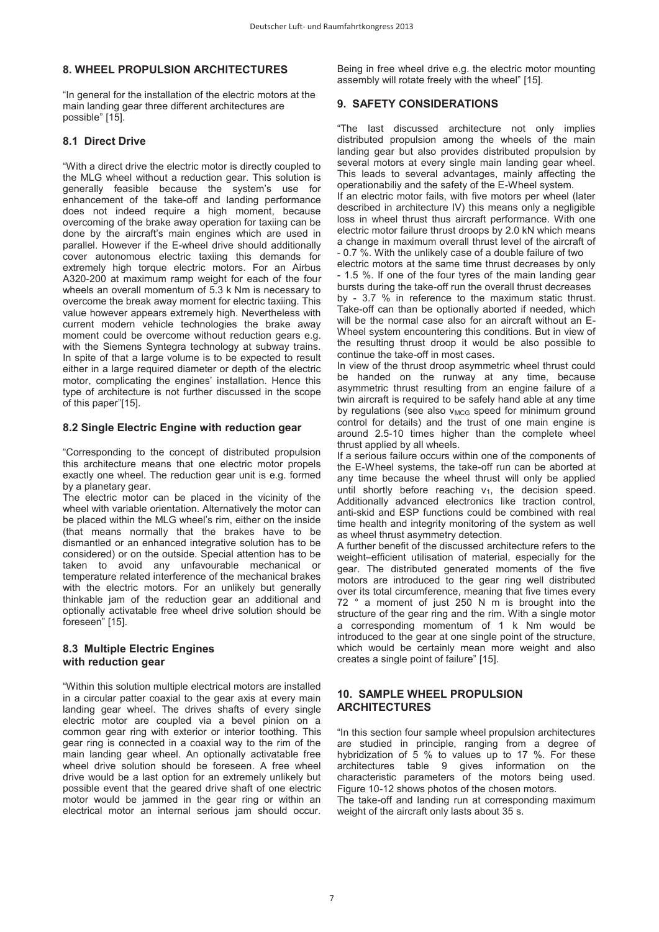# **8. WHEEL PROPULSION ARCHITECTURES**

"In general for the installation of the electric motors at the main landing gear three different architectures are possible" [15].

# **8.1 Direct Drive**

"With a direct drive the electric motor is directly coupled to the MLG wheel without a reduction gear. This solution is generally feasible because the system's use for enhancement of the take-off and landing performance does not indeed require a high moment, because overcoming of the brake away operation for taxiing can be done by the aircraft's main engines which are used in parallel. However if the E-wheel drive should additionally cover autonomous electric taxiing this demands for extremely high torque electric motors. For an Airbus A320-200 at maximum ramp weight for each of the four wheels an overall momentum of 5.3 k Nm is necessary to overcome the break away moment for electric taxiing. This value however appears extremely high. Nevertheless with current modern vehicle technologies the brake away moment could be overcome without reduction gears e.g. with the Siemens Syntegra technology at subway trains. In spite of that a large volume is to be expected to result either in a large required diameter or depth of the electric motor, complicating the engines' installation. Hence this type of architecture is not further discussed in the scope of this paper"[15].

### **8.2 Single Electric Engine with reduction gear**

"Corresponding to the concept of distributed propulsion this architecture means that one electric motor propels exactly one wheel. The reduction gear unit is e.g. formed by a planetary gear.

The electric motor can be placed in the vicinity of the wheel with variable orientation. Alternatively the motor can be placed within the MLG wheel's rim, either on the inside (that means normally that the brakes have to be dismantled or an enhanced integrative solution has to be considered) or on the outside. Special attention has to be taken to avoid any unfavourable mechanical or temperature related interference of the mechanical brakes with the electric motors. For an unlikely but generally thinkable jam of the reduction gear an additional and optionally activatable free wheel drive solution should be foreseen" [15].

# **8.3 Multiple Electric Engines with reduction gear**

"Within this solution multiple electrical motors are installed in a circular patter coaxial to the gear axis at every main landing gear wheel. The drives shafts of every single electric motor are coupled via a bevel pinion on a common gear ring with exterior or interior toothing. This gear ring is connected in a coaxial way to the rim of the main landing gear wheel. An optionally activatable free wheel drive solution should be foreseen. A free wheel drive would be a last option for an extremely unlikely but possible event that the geared drive shaft of one electric motor would be jammed in the gear ring or within an electrical motor an internal serious jam should occur. Being in free wheel drive e.g. the electric motor mounting assembly will rotate freely with the wheel" [15].

# **9. SAFETY CONSIDERATIONS**

"The last discussed architecture not only implies distributed propulsion among the wheels of the main landing gear but also provides distributed propulsion by several motors at every single main landing gear wheel. This leads to several advantages, mainly affecting the operationabiliy and the safety of the E-Wheel system.

If an electric motor fails, with five motors per wheel (later described in architecture IV) this means only a negligible loss in wheel thrust thus aircraft performance. With one electric motor failure thrust droops by 2.0 kN which means a change in maximum overall thrust level of the aircraft of - 0.7 %. With the unlikely case of a double failure of two

electric motors at the same time thrust decreases by only - 1.5 %. If one of the four tyres of the main landing gear bursts during the take-off run the overall thrust decreases by - 3.7 % in reference to the maximum static thrust. Take-off can than be optionally aborted if needed, which will be the normal case also for an aircraft without an E-Wheel system encountering this conditions. But in view of the resulting thrust droop it would be also possible to continue the take-off in most cases.

In view of the thrust droop asymmetric wheel thrust could be handed on the runway at any time, because asymmetric thrust resulting from an engine failure of a twin aircraft is required to be safely hand able at any time by regulations (see also  $v_{MCG}$  speed for minimum ground control for details) and the trust of one main engine is around 2.5-10 times higher than the complete wheel thrust applied by all wheels.

If a serious failure occurs within one of the components of the E-Wheel systems, the take-off run can be aborted at any time because the wheel thrust will only be applied until shortly before reaching  $v_1$ , the decision speed. Additionally advanced electronics like traction control, anti-skid and ESP functions could be combined with real time health and integrity monitoring of the system as well as wheel thrust asymmetry detection.

A further benefit of the discussed architecture refers to the weight–efficient utilisation of material, especially for the gear. The distributed generated moments of the five motors are introduced to the gear ring well distributed over its total circumference, meaning that five times every 72 ° a moment of just 250 N m is brought into the structure of the gear ring and the rim. With a single motor a corresponding momentum of 1 k Nm would be introduced to the gear at one single point of the structure, which would be certainly mean more weight and also creates a single point of failure" [15].

# **10. SAMPLE WHEEL PROPULSION ARCHITECTURES**

"In this section four sample wheel propulsion architectures are studied in principle, ranging from a degree of hybridization of 5 % to values up to 17 %. For these architectures table 9 gives information on the characteristic parameters of the motors being used. Figure 10-12 shows photos of the chosen motors. The take-off and landing run at corresponding maximum weight of the aircraft only lasts about 35 s.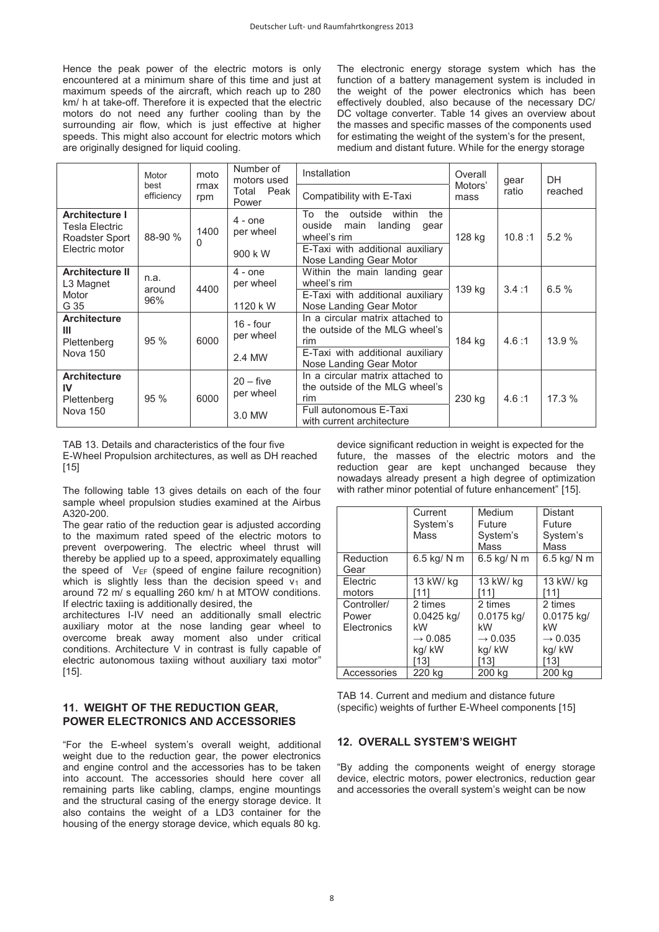Hence the peak power of the electric motors is only encountered at a minimum share of this time and just at maximum speeds of the aircraft, which reach up to 280 km/ h at take-off. Therefore it is expected that the electric motors do not need any further cooling than by the surrounding air flow, which is just effective at higher speeds. This might also account for electric motors which are originally designed for liquid cooling.

The electronic energy storage system which has the function of a battery management system is included in the weight of the power electronics which has been effectively doubled, also because of the necessary DC/ DC voltage converter. Table 14 gives an overview about the masses and specific masses of the components used for estimating the weight of the system's for the present, medium and distant future. While for the energy storage

|                                                                             | Motor                 | moto        | Number of<br>motors used           | Installation                                                                                                                                             | Overall<br>Motors' | gear   | DH      |
|-----------------------------------------------------------------------------|-----------------------|-------------|------------------------------------|----------------------------------------------------------------------------------------------------------------------------------------------------------|--------------------|--------|---------|
| best<br>efficiency                                                          |                       | rmax<br>rpm | Peak<br>Total<br>Power             | Compatibility with E-Taxi                                                                                                                                | mass               | ratio  | reached |
| <b>Architecture I</b><br>Tesla Electric<br>Roadster Sport<br>Electric motor | 88-90 %               | 1400<br>0   | $4 -$ one<br>per wheel<br>900 k W  | the<br>within<br>To<br>outside<br>the<br>ouside<br>landing<br>main<br>qear<br>wheel's rim<br>E-Taxi with additional auxiliary<br>Nose Landing Gear Motor | 128 kg             | 10.8:1 | 5.2%    |
| <b>Architecture II</b><br>L3 Magnet<br>Motor<br>G 35                        | n.a.<br>around<br>96% | 4400        | $4 - one$<br>per wheel<br>1120 k W | Within the main landing gear<br>wheel's rim<br>E-Taxi with additional auxiliary<br>Nose Landing Gear Motor                                               | 139 kg             | 3.4:1  | 6.5%    |
| <b>Architecture</b><br>Ш<br>Plettenberg<br>Nova 150                         | 95%                   | 6000        | $16 - four$<br>per wheel<br>2.4 MW | In a circular matrix attached to<br>the outside of the MLG wheel's<br>rim<br>E-Taxi with additional auxiliary<br>Nose Landing Gear Motor                 | 184 kg             | 4.6:1  | 13.9 %  |
| <b>Architecture</b><br>IV<br>Plettenberg<br>Nova 150                        | 95 %                  | 6000        | $20 -$ five<br>per wheel<br>3.0 MW | In a circular matrix attached to<br>the outside of the MLG wheel's<br>rim<br>Full autonomous E-Taxi<br>with current architecture                         | 230 kg             | 4.6:1  | 17.3 %  |

TAB 13. Details and characteristics of the four five E-Wheel Propulsion architectures, as well as DH reached [15]

The following table 13 gives details on each of the four sample wheel propulsion studies examined at the Airbus A320-200.

The gear ratio of the reduction gear is adjusted according to the maximum rated speed of the electric motors to prevent overpowering. The electric wheel thrust will thereby be applied up to a speed, approximately equalling the speed of  $V_{EF}$  (speed of engine failure recognition) which is slightly less than the decision speed  $v_1$  and around 72 m/ s equalling 260 km/ h at MTOW conditions. If electric taxiing is additionally desired, the

architectures I-IV need an additionally small electric auxiliary motor at the nose landing gear wheel to overcome break away moment also under critical conditions. Architecture V in contrast is fully capable of electric autonomous taxiing without auxiliary taxi motor" [15].

# **11. WEIGHT OF THE REDUCTION GEAR, POWER ELECTRONICS AND ACCESSORIES**

"For the E-wheel system's overall weight, additional weight due to the reduction gear, the power electronics and engine control and the accessories has to be taken into account. The accessories should here cover all remaining parts like cabling, clamps, engine mountings and the structural casing of the energy storage device. It also contains the weight of a LD3 container for the housing of the energy storage device, which equals 80 kg.

device significant reduction in weight is expected for the future, the masses of the electric motors and the reduction gear are kept unchanged because they nowadays already present a high degree of optimization with rather minor potential of future enhancement" [15].

|             | Current             | Medium              | <b>Distant</b>      |  |
|-------------|---------------------|---------------------|---------------------|--|
|             | System's            | Future              | Future              |  |
|             | Mass                | System's            | System's            |  |
|             |                     | Mass                | Mass                |  |
| Reduction   | 6.5 kg/ N m         | 6.5 kg/ N m         | 6.5 kg/ N m         |  |
| Gear        |                     |                     |                     |  |
| Electric    | 13 kW/ kg           | 13 kW/ kg           | 13 kW/ kg           |  |
| motors      | ์111                | [11]                | i111                |  |
| Controller/ | 2 times             | 2 times             | 2 times             |  |
| Power       | 0.0425 kg/          | 0.0175 kg/          | 0.0175 kg/          |  |
| Electronics | kW                  | kW                  | kW                  |  |
|             | $\rightarrow 0.085$ | $\rightarrow 0.035$ | $\rightarrow 0.035$ |  |
|             | kg/kW               | kg/kW               | kg/kW               |  |
|             | 131                 | [13]                | 131                 |  |
| Accessories | 220 ka              | 200 kg              | 200 ka              |  |

TAB 14. Current and medium and distance future (specific) weights of further E-Wheel components [15]

# **12. OVERALL SYSTEM'S WEIGHT**

"By adding the components weight of energy storage device, electric motors, power electronics, reduction gear and accessories the overall system's weight can be now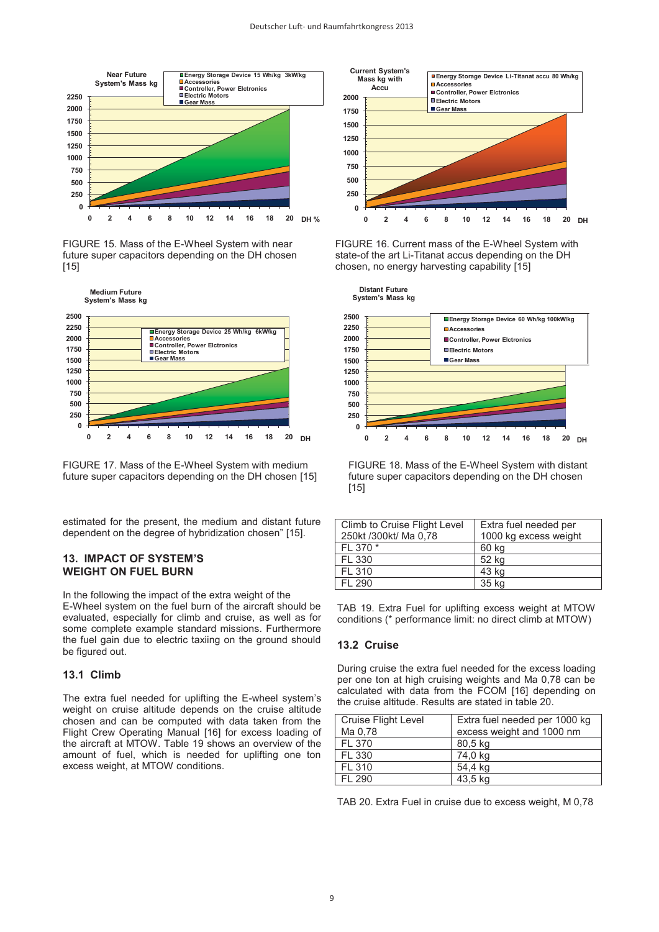

FIGURE 15. Mass of the E-Wheel System with near future super capacitors depending on the DH chosen [15]



FIGURE 17. Mass of the E-Wheel System with medium future super capacitors depending on the DH chosen [15]

estimated for the present, the medium and distant future dependent on the degree of hybridization chosen" [15].

#### **13. IMPACT OF SYSTEM'S WEIGHT ON FUEL BURN**

In the following the impact of the extra weight of the E-Wheel system on the fuel burn of the aircraft should be evaluated, especially for climb and cruise, as well as for some complete example standard missions. Furthermore the fuel gain due to electric taxiing on the ground should be figured out.

#### **13.1 Climb**

The extra fuel needed for uplifting the E-wheel system's weight on cruise altitude depends on the cruise altitude chosen and can be computed with data taken from the Flight Crew Operating Manual [16] for excess loading of the aircraft at MTOW. Table 19 shows an overview of the amount of fuel, which is needed for uplifting one ton excess weight, at MTOW conditions.



FIGURE 16. Current mass of the E-Wheel System with state-of the art Li-Titanat accus depending on the DH chosen, no energy harvesting capability [15]



FIGURE 18. Mass of the E-Wheel System with distant future super capacitors depending on the DH chosen [15]

| Climb to Cruise Flight Level | Extra fuel needed per |
|------------------------------|-----------------------|
| 250kt/300kt/ Ma 0.78         | 1000 kg excess weight |
| FL 370 *                     | 60 kg                 |
| FL 330                       | 52 kg                 |
| FI 310                       | 43 kg                 |
| FI 290                       | 35 kg                 |
|                              |                       |

TAB 19. Extra Fuel for uplifting excess weight at MTOW conditions (\* performance limit: no direct climb at MTOW)

#### **13.2 Cruise**

During cruise the extra fuel needed for the excess loading per one ton at high cruising weights and Ma 0,78 can be calculated with data from the FCOM [16] depending on the cruise altitude. Results are stated in table 20.

| <b>Cruise Flight Level</b> | Extra fuel needed per 1000 kg |  |  |
|----------------------------|-------------------------------|--|--|
| Ma 0.78                    | excess weight and 1000 nm     |  |  |
| FL 370                     | 80,5 kg                       |  |  |
| FL 330                     | 74,0 kg                       |  |  |
| FL 310                     | 54,4 kg                       |  |  |
| FI 290                     | 43,5 kg                       |  |  |
|                            |                               |  |  |

TAB 20. Extra Fuel in cruise due to excess weight, M 0,78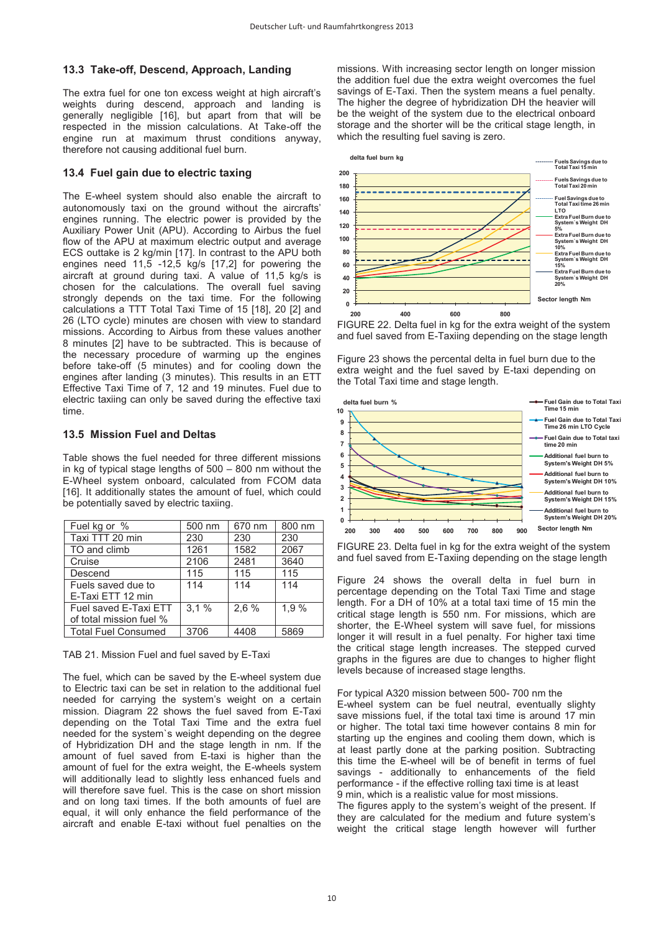### **13.3 Take-off, Descend, Approach, Landing**

The extra fuel for one ton excess weight at high aircraft's weights during descend, approach and landing is generally negligible [16], but apart from that will be respected in the mission calculations. At Take-off the engine run at maximum thrust conditions anyway, therefore not causing additional fuel burn.

# **13.4 Fuel gain due to electric taxing**

The E-wheel system should also enable the aircraft to autonomously taxi on the ground without the aircrafts' engines running. The electric power is provided by the Auxiliary Power Unit (APU). According to Airbus the fuel flow of the APU at maximum electric output and average ECS outtake is 2 kg/min [17]. In contrast to the APU both engines need  $11,\overline{5}$  -12,5 kg/s [17,2] for powering the aircraft at ground during taxi. A value of 11,5 kg/s is chosen for the calculations. The overall fuel saving strongly depends on the taxi time. For the following calculations a TTT Total Taxi Time of 15 [18], 20 [2] and 26 (LTO cycle) minutes are chosen with view to standard missions. According to Airbus from these values another 8 minutes [2] have to be subtracted. This is because of the necessary procedure of warming up the engines before take-off (5 minutes) and for cooling down the engines after landing (3 minutes). This results in an ETT Effective Taxi Time of 7, 12 and 19 minutes. Fuel due to electric taxiing can only be saved during the effective taxi time.

### **13.5 Mission Fuel and Deltas**

Table shows the fuel needed for three different missions in kg of typical stage lengths of 500 – 800 nm without the E-Wheel system onboard, calculated from FCOM data [16]. It additionally states the amount of fuel, which could be potentially saved by electric taxiing.

| Fuel kg or %                                     | 500 nm | 670 nm | 800 nm |
|--------------------------------------------------|--------|--------|--------|
| Taxi TTT 20 min                                  | 230    | 230    | 230    |
| TO and climb                                     | 1261   | 1582   | 2067   |
| Cruise                                           | 2106   | 2481   | 3640   |
| Descend                                          | 115    | 115    | 115    |
| Fuels saved due to<br>E-Taxi ETT 12 min          | 114    | 114    | 114    |
| Fuel saved E-Taxi ETT<br>of total mission fuel % | 3.1%   | 2,6%   | 1,9%   |
| <b>Total Fuel Consumed</b>                       | 3706   | 4408   | 5869   |

TAB 21. Mission Fuel and fuel saved by E-Taxi

The fuel, which can be saved by the E-wheel system due to Electric taxi can be set in relation to the additional fuel needed for carrying the system's weight on a certain mission. Diagram 22 shows the fuel saved from E-Taxi depending on the Total Taxi Time and the extra fuel needed for the system`s weight depending on the degree of Hybridization DH and the stage length in nm. If the amount of fuel saved from E-taxi is higher than the amount of fuel for the extra weight, the E-wheels system will additionally lead to slightly less enhanced fuels and will therefore save fuel. This is the case on short mission and on long taxi times. If the both amounts of fuel are equal, it will only enhance the field performance of the aircraft and enable E-taxi without fuel penalties on the

missions. With increasing sector length on longer mission the addition fuel due the extra weight overcomes the fuel savings of E-Taxi. Then the system means a fuel penalty. The higher the degree of hybridization DH the heavier will be the weight of the system due to the electrical onboard storage and the shorter will be the critical stage length, in which the resulting fuel saving is zero.



FIGURE 22. Delta fuel in kg for the extra weight of the system and fuel saved from E-Taxiing depending on the stage length

Figure 23 shows the percental delta in fuel burn due to the extra weight and the fuel saved by E-taxi depending on the Total Taxi time and stage length.



FIGURE 23. Delta fuel in kg for the extra weight of the system and fuel saved from E-Taxiing depending on the stage length

Figure 24 shows the overall delta in fuel burn in percentage depending on the Total Taxi Time and stage length. For a DH of 10% at a total taxi time of 15 min the critical stage length is 550 nm. For missions, which are shorter, the E-Wheel system will save fuel, for missions longer it will result in a fuel penalty. For higher taxi time the critical stage length increases. The stepped curved graphs in the figures are due to changes to higher flight levels because of increased stage lengths.

For typical A320 mission between 500- 700 nm the E-wheel system can be fuel neutral, eventually slighty save missions fuel, if the total taxi time is around 17 min or higher. The total taxi time however contains 8 min for starting up the engines and cooling them down, which is at least partly done at the parking position. Subtracting this time the E-wheel will be of benefit in terms of fuel savings - additionally to enhancements of the field performance - if the effective rolling taxi time is at least 9 min, which is a realistic value for most missions. The figures apply to the system's weight of the present. If they are calculated for the medium and future system's weight the critical stage length however will further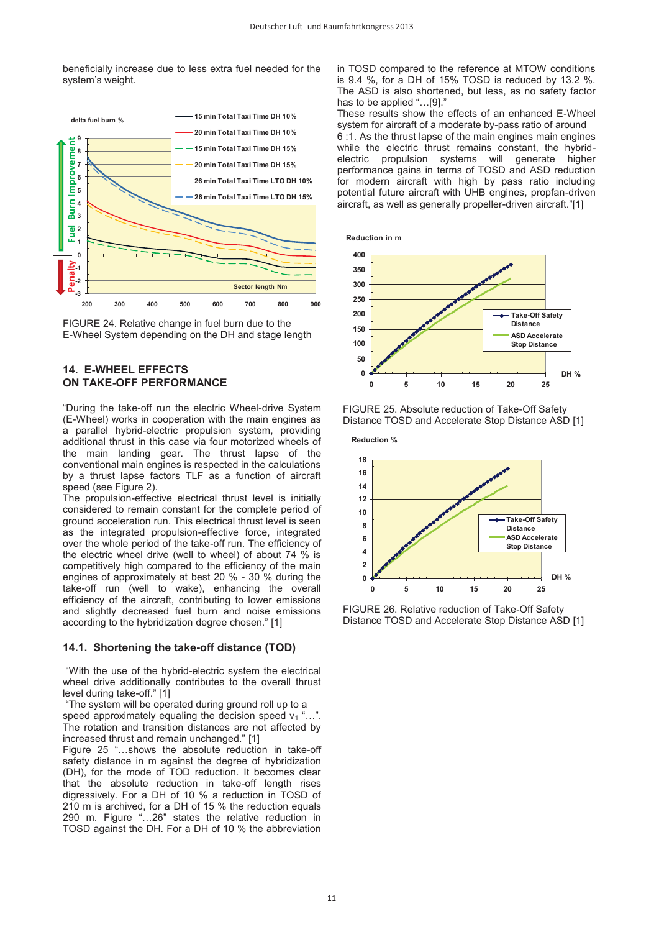beneficially increase due to less extra fuel needed for the system's weight.





# **14. E-WHEEL EFFECTS ON TAKE-OFF PERFORMANCE**

"During the take-off run the electric Wheel-drive System (E-Wheel) works in cooperation with the main engines as a parallel hybrid-electric propulsion system, providing additional thrust in this case via four motorized wheels of the main landing gear. The thrust lapse of the conventional main engines is respected in the calculations by a thrust lapse factors TLF as a function of aircraft speed (see Figure 2).

The propulsion-effective electrical thrust level is initially considered to remain constant for the complete period of ground acceleration run. This electrical thrust level is seen as the integrated propulsion-effective force, integrated over the whole period of the take-off run. The efficiency of the electric wheel drive (well to wheel) of about 74 % is competitively high compared to the efficiency of the main engines of approximately at best 20 % - 30 % during the take-off run (well to wake), enhancing the overall efficiency of the aircraft, contributing to lower emissions and slightly decreased fuel burn and noise emissions according to the hybridization degree chosen." [1]

# **14.1. Shortening the take-off distance (TOD)**

"With the use of the hybrid-electric system the electrical wheel drive additionally contributes to the overall thrust level during take-off." [1]

"The system will be operated during ground roll up to a speed approximately equaling the decision speed  $v_1$ "... The rotation and transition distances are not affected by increased thrust and remain unchanged." [1]

Figure 25 "…shows the absolute reduction in take-off safety distance in m against the degree of hybridization (DH), for the mode of TOD reduction. It becomes clear that the absolute reduction in take-off length rises digressively. For a DH of 10 % a reduction in TOSD of 210 m is archived, for a DH of 15 % the reduction equals 290 m. Figure "…26" states the relative reduction in TOSD against the DH. For a DH of 10 % the abbreviation

in TOSD compared to the reference at MTOW conditions is 9.4 %, for a DH of 15% TOSD is reduced by 13.2 %. The ASD is also shortened, but less, as no safety factor has to be applied "...[9]."

These results show the effects of an enhanced E-Wheel system for aircraft of a moderate by-pass ratio of around 6 :1. As the thrust lapse of the main engines main engines while the electric thrust remains constant, the hybridelectric propulsion systems will generate higher performance gains in terms of TOSD and ASD reduction for modern aircraft with high by pass ratio including potential future aircraft with UHB engines, propfan-driven aircraft, as well as generally propeller-driven aircraft."[1]





FIGURE 25. Absolute reduction of Take-Off Safety Distance TOSD and Accelerate Stop Distance ASD [1]



FIGURE 26. Relative reduction of Take-Off Safety Distance TOSD and Accelerate Stop Distance ASD [1]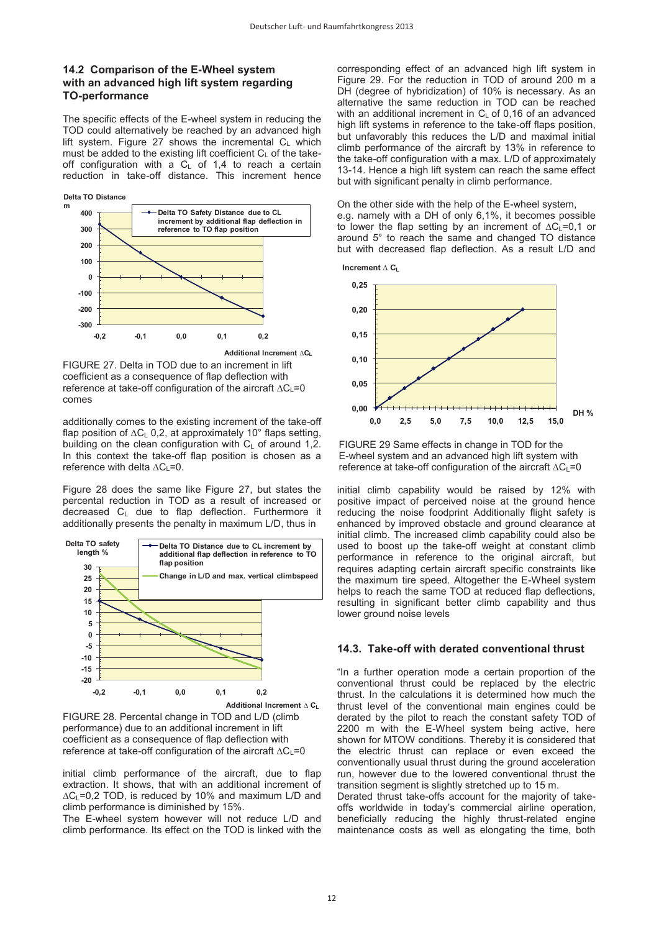# **14.2 Comparison of the E-Wheel system with an advanced high lift system regarding TO-performance**

The specific effects of the E-wheel system in reducing the TOD could alternatively be reached by an advanced high lift system. Figure 27 shows the incremental  $C_L$  which must be added to the existing lift coefficient  $C_{\text{L}}$  of the takeoff configuration with a  $C_L$  of 1,4 to reach a certain reduction in take-off distance. This increment hence



comes FIGURE 27. Delta in TOD due to an increment in lift coefficient as a consequence of flap deflection with reference at take-off configuration of the aircraft ∆C<sub>L</sub>=0

additionally comes to the existing increment of the take-off flap position of ∆CL 0,2, at approximately 10° flaps setting, building on the clean configuration with  $C_1$  of around 1.2. In this context the take-off flap position is chosen as a reference with delta ∆C<sub>L</sub>=0.

Figure 28 does the same like Figure 27, but states the percental reduction in TOD as a result of increased or decreased CL due to flap deflection. Furthermore it additionally presents the penalty in maximum L/D, thus in



FIGURE 28. Percental change in TOD and L/D (climb performance) due to an additional increment in lift coefficient as a consequence of flap deflection with reference at take-off configuration of the aircraft ∆C<sub>L</sub>=0

initial climb performance of the aircraft, due to flap extraction. It shows, that with an additional increment of ∆CL=0,2 TOD, is reduced by 10% and maximum L/D and climb performance is diminished by 15%.

The E-wheel system however will not reduce L/D and climb performance. Its effect on the TOD is linked with the

corresponding effect of an advanced high lift system in Figure 29. For the reduction in TOD of around 200 m a DH (degree of hybridization) of 10% is necessary. As an alternative the same reduction in TOD can be reached with an additional increment in  $C_L$  of 0,16 of an advanced high lift systems in reference to the take-off flaps position, but unfavorably this reduces the L/D and maximal initial climb performance of the aircraft by 13% in reference to the take-off configuration with a max. L/D of approximately 13-14. Hence a high lift system can reach the same effect but with significant penalty in climb performance.

#### On the other side with the help of the E-wheel system,

e.g. namely with a DH of only 6,1%, it becomes possible to lower the flap setting by an increment of  $\Delta C_1$ =0.1 or around 5° to reach the same and changed TO distance but with decreased flap deflection. As a result L/D and





FIGURE 29 Same effects in change in TOD for the E-wheel system and an advanced high lift system with reference at take-off configuration of the aircraft ∆CL=0

initial climb capability would be raised by 12% with positive impact of perceived noise at the ground hence reducing the noise foodprint Additionally flight safety is enhanced by improved obstacle and ground clearance at initial climb. The increased climb capability could also be used to boost up the take-off weight at constant climb performance in reference to the original aircraft, but requires adapting certain aircraft specific constraints like the maximum tire speed. Altogether the E-Wheel system helps to reach the same TOD at reduced flap deflections, resulting in significant better climb capability and thus lower ground noise levels

#### **14.3. Take-off with derated conventional thrust**

"In a further operation mode a certain proportion of the conventional thrust could be replaced by the electric thrust. In the calculations it is determined how much the thrust level of the conventional main engines could be derated by the pilot to reach the constant safety TOD of 2200 m with the E-Wheel system being active, here shown for MTOW conditions. Thereby it is considered that the electric thrust can replace or even exceed the conventionally usual thrust during the ground acceleration run, however due to the lowered conventional thrust the transition segment is slightly stretched up to 15 m.

Derated thrust take-offs account for the majority of takeoffs worldwide in today's commercial airline operation, beneficially reducing the highly thrust-related engine maintenance costs as well as elongating the time, both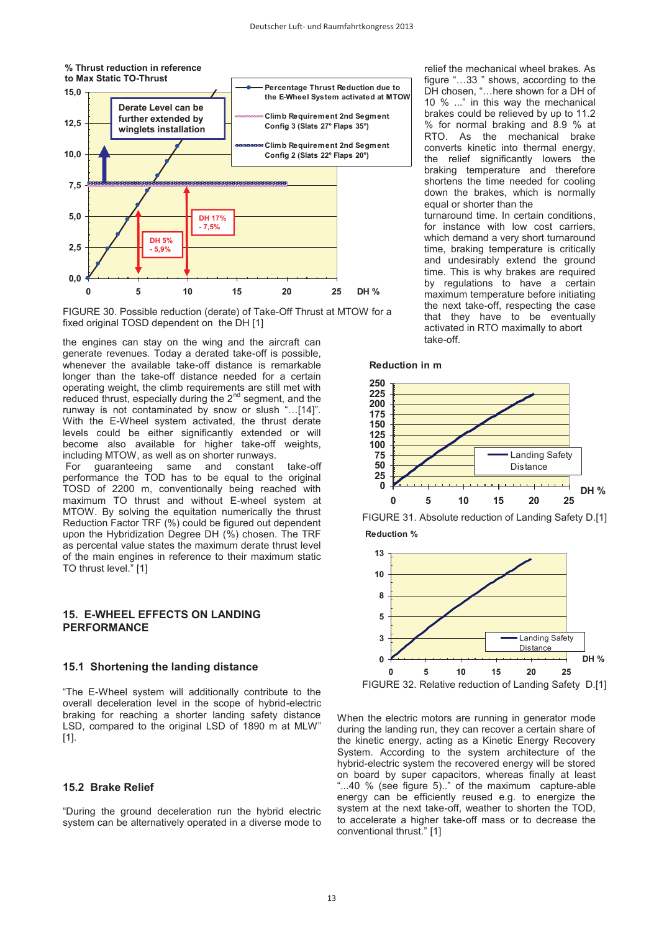

FIGURE 30. Possible reduction (derate) of Take-Off Thrust at MTOW for a fixed original TOSD dependent on the DH [1]

the engines can stay on the wing and the aircraft can generate revenues. Today a derated take-off is possible, whenever the available take-off distance is remarkable longer than the take-off distance needed for a certain operating weight, the climb requirements are still met with reduced thrust, especially during the 2<sup>nd</sup> segment, and the runway is not contaminated by snow or slush "…[14]". With the E-Wheel system activated, the thrust derate levels could be either significantly extended or will become also available for higher take-off weights, including MTOW, as well as on shorter runways.<br>For guaranteeing same and constant same and constant take-off performance the TOD has to be equal to the original TOSD of 2200 m, conventionally being reached with maximum TO thrust and without E-wheel system at MTOW. By solving the equitation numerically the thrust Reduction Factor TRF (%) could be figured out dependent upon the Hybridization Degree DH (%) chosen. The TRF as percental value states the maximum derate thrust level of the main engines in reference to their maximum static TO thrust level." [1]

# **15. E-WHEEL EFFECTS ON LANDING PERFORMANCE**

#### **15.1 Shortening the landing distance**

"The E-Wheel system will additionally contribute to the overall deceleration level in the scope of hybrid-electric braking for reaching a shorter landing safety distance LSD, compared to the original LSD of 1890 m at MLW" [1].

### **15.2 Brake Relief**

"During the ground deceleration run the hybrid electric system can be alternatively operated in a diverse mode to relief the mechanical wheel brakes. As figure "…33 " shows, according to the DH chosen, "…here shown for a DH of 10 % ..." in this way the mechanical brakes could be relieved by up to 11.2 % for normal braking and 8.9 % at RTO. As the mechanical brake converts kinetic into thermal energy, the relief significantly lowers the braking temperature and therefore shortens the time needed for cooling down the brakes, which is normally equal or shorter than the turnaround time. In certain conditions,

for instance with low cost carriers, which demand a very short turnaround time, braking temperature is critically and undesirably extend the ground time. This is why brakes are required by regulations to have a certain maximum temperature before initiating the next take-off, respecting the case that they have to be eventually activated in RTO maximally to abort take-off.

#### **Reduction in m**







When the electric motors are running in generator mode during the landing run, they can recover a certain share of the kinetic energy, acting as a Kinetic Energy Recovery System. According to the system architecture of the hybrid-electric system the recovered energy will be stored on board by super capacitors, whereas finally at least "...40 % (see figure 5).." of the maximum capture-able energy can be efficiently reused e.g. to energize the system at the next take-off, weather to shorten the TOD, to accelerate a higher take-off mass or to decrease the conventional thrust." [1]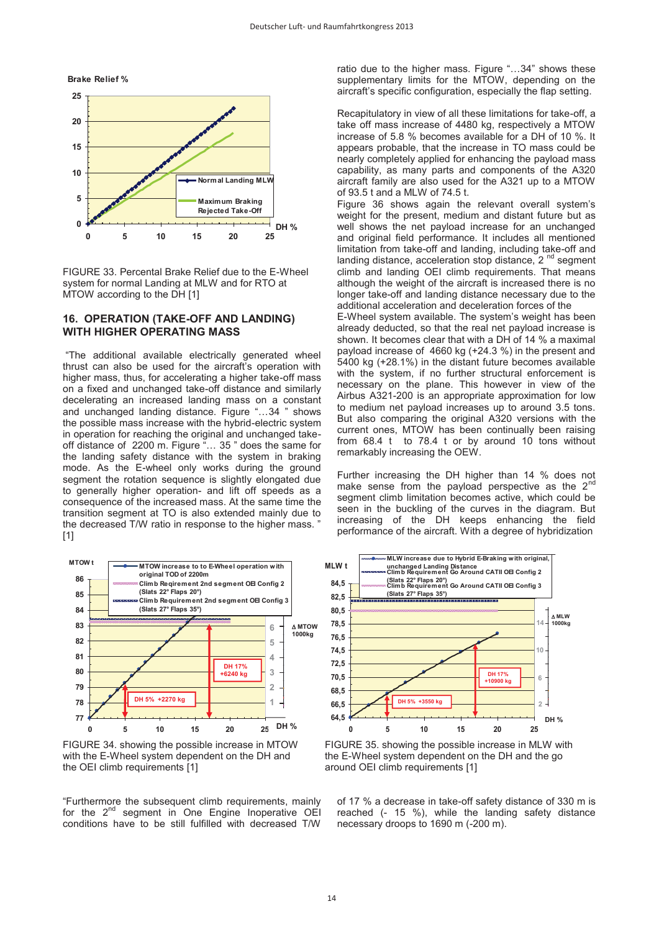

FIGURE 33. Percental Brake Relief due to the E-Wheel system for normal Landing at MLW and for RTO at MTOW according to the DH [1]

### **16. OPERATION (TAKE-OFF AND LANDING) WITH HIGHER OPERATING MASS**

"The additional available electrically generated wheel thrust can also be used for the aircraft's operation with higher mass, thus, for accelerating a higher take-off mass on a fixed and unchanged take-off distance and similarly decelerating an increased landing mass on a constant and unchanged landing distance. Figure "…34 " shows the possible mass increase with the hybrid-electric system in operation for reaching the original and unchanged takeoff distance of 2200 m. Figure "… 35 " does the same for the landing safety distance with the system in braking mode. As the E-wheel only works during the ground segment the rotation sequence is slightly elongated due to generally higher operation- and lift off speeds as a consequence of the increased mass. At the same time the transition segment at TO is also extended mainly due to the decreased T/W ratio in response to the higher mass. " [1]



FIGURE 34. showing the possible increase in MTOW with the E-Wheel system dependent on the DH and the OEI climb requirements [1]

"Furthermore the subsequent climb requirements, mainly for the 2<sup>nd</sup> segment in One Engine Inoperative OEI conditions have to be still fulfilled with decreased T/W

ratio due to the higher mass. Figure "…34" shows these supplementary limits for the MTOW, depending on the aircraft's specific configuration, especially the flap setting.

Recapitulatory in view of all these limitations for take-off, a take off mass increase of 4480 kg, respectively a MTOW increase of 5.8 % becomes available for a DH of 10 %. It appears probable, that the increase in TO mass could be nearly completely applied for enhancing the payload mass capability, as many parts and components of the A320 aircraft family are also used for the A321 up to a MTOW of 93.5 t and a MLW of 74.5 t.

Figure 36 shows again the relevant overall system's weight for the present, medium and distant future but as well shows the net payload increase for an unchanged and original field performance. It includes all mentioned limitation from take-off and landing, including take-off and landing distance, acceleration stop distance, 2<sup>nd</sup> segment climb and landing OEI climb requirements. That means although the weight of the aircraft is increased there is no longer take-off and landing distance necessary due to the additional acceleration and deceleration forces of the

E-Wheel system available. The system's weight has been already deducted, so that the real net payload increase is shown. It becomes clear that with a DH of 14 % a maximal payload increase of 4660 kg (+24.3 %) in the present and 5400 kg (+28.1%) in the distant future becomes available with the system, if no further structural enforcement is necessary on the plane. This however in view of the Airbus A321-200 is an appropriate approximation for low to medium net payload increases up to around 3.5 tons. But also comparing the original A320 versions with the current ones, MTOW has been continually been raising from 68.4 t to 78.4 t or by around 10 tons without remarkably increasing the OEW.

Further increasing the DH higher than 14 % does not make sense from the payload perspective as the  $2<sup>n</sup>$ segment climb limitation becomes active, which could be seen in the buckling of the curves in the diagram. But increasing of the DH keeps enhancing the field performance of the aircraft. With a degree of hybridization



FIGURE 35. showing the possible increase in MLW with the E-Wheel system dependent on the DH and the go around OEI climb requirements [1]

of 17 % a decrease in take-off safety distance of 330 m is reached (- 15 %), while the landing safety distance necessary droops to 1690 m (-200 m).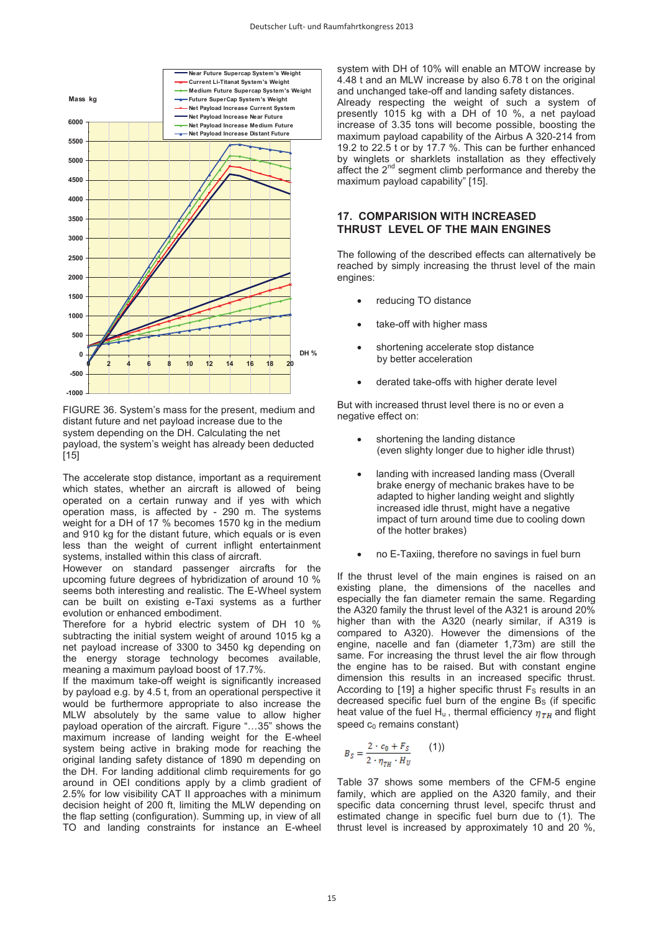

FIGURE 36. System's mass for the present, medium and distant future and net payload increase due to the system depending on the DH. Calculating the net payload, the system's weight has already been deducted [15]

The accelerate stop distance, important as a requirement which states, whether an aircraft is allowed of being operated on a certain runway and if yes with which operation mass, is affected by - 290 m. The systems weight for a DH of 17 % becomes 1570 kg in the medium and 910 kg for the distant future, which equals or is even less than the weight of current inflight entertainment systems, installed within this class of aircraft.

However on standard passenger aircrafts for the upcoming future degrees of hybridization of around 10 % seems both interesting and realistic. The E-Wheel system can be built on existing e-Taxi systems as a further evolution or enhanced embodiment.

Therefore for a hybrid electric system of DH 10 % subtracting the initial system weight of around 1015 kg a net payload increase of 3300 to 3450 kg depending on the energy storage technology becomes available, meaning a maximum payload boost of 17.7%.

If the maximum take-off weight is significantly increased by payload e.g. by 4.5 t, from an operational perspective it would be furthermore appropriate to also increase the MLW absolutely by the same value to allow higher payload operation of the aircraft. Figure "…35" shows the maximum increase of landing weight for the E-wheel system being active in braking mode for reaching the original landing safety distance of 1890 m depending on the DH. For landing additional climb requirements for go around in OEI conditions apply by a climb gradient of 2.5% for low visibility CAT II approaches with a minimum decision height of 200 ft, limiting the MLW depending on the flap setting (configuration). Summing up, in view of all TO and landing constraints for instance an E-wheel

system with DH of 10% will enable an MTOW increase by 4.48 t and an MLW increase by also 6.78 t on the original and unchanged take-off and landing safety distances. Already respecting the weight of such a system of presently 1015 kg with a DH of 10 %, a net payload increase of 3.35 tons will become possible, boosting the maximum payload capability of the Airbus A 320-214 from 19.2 to 22.5 t or by 17.7 %. This can be further enhanced by winglets or sharklets installation as they effectively affect the 2<sup>nd</sup> segment climb performance and thereby the maximum payload capability" [15].

# **17. COMPARISION WITH INCREASED THRUST LEVEL OF THE MAIN ENGINES**

The following of the described effects can alternatively be reached by simply increasing the thrust level of the main engines:

- reducing TO distance
- take-off with higher mass
- shortening accelerate stop distance by better acceleration
- derated take-offs with higher derate level

But with increased thrust level there is no or even a negative effect on:

- shortening the landing distance (even slighty longer due to higher idle thrust)
- landing with increased landing mass (Overall brake energy of mechanic brakes have to be adapted to higher landing weight and slightly increased idle thrust, might have a negative impact of turn around time due to cooling down of the hotter brakes)
- no E-Taxiing, therefore no savings in fuel burn

If the thrust level of the main engines is raised on an existing plane, the dimensions of the nacelles and especially the fan diameter remain the same. Regarding the A320 family the thrust level of the A321 is around 20% higher than with the A320 (nearly similar, if A319 is compared to A320). However the dimensions of the engine, nacelle and fan (diameter 1,73m) are still the same. For increasing the thrust level the air flow through the engine has to be raised. But with constant engine dimension this results in an increased specific thrust. According to  $[19]$  a higher specific thrust  $F<sub>S</sub>$  results in an decreased specific fuel burn of the engine  $B<sub>s</sub>$  (if specific heat value of the fuel H<sub>u</sub>, thermal efficiency  $\eta_{TH}$  and flight speed  $c_0$  remains constant)

$$
B_S = \frac{2 \cdot c_0 + F_S}{2 \cdot \eta_{TH} \cdot H_U} \tag{1}
$$

Table 37 shows some members of the CFM-5 engine family, which are applied on the A320 family, and their specific data concerning thrust level, specifc thrust and estimated change in specific fuel burn due to (1). The thrust level is increased by approximately 10 and 20 %,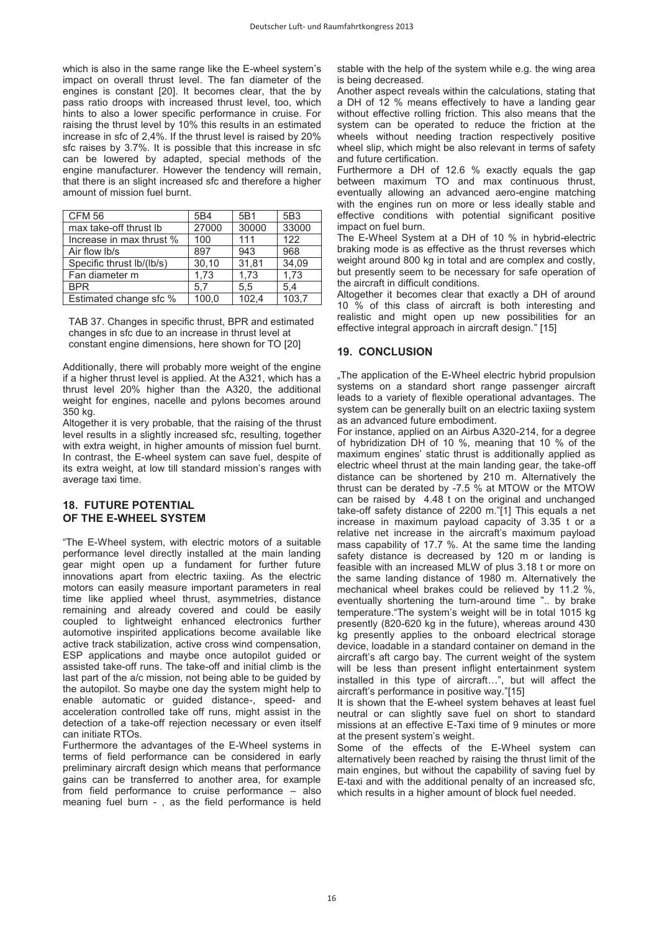which is also in the same range like the E-wheel system's impact on overall thrust level. The fan diameter of the engines is constant [20]. It becomes clear, that the by pass ratio droops with increased thrust level, too, which hints to also a lower specific performance in cruise. For raising the thrust level by 10% this results in an estimated increase in sfc of 2,4%. If the thrust level is raised by 20% sfc raises by 3.7%. It is possible that this increase in sfc can be lowered by adapted, special methods of the engine manufacturer. However the tendency will remain, that there is an slight increased sfc and therefore a higher amount of mission fuel burnt.

| <b>CFM 56</b>                   | 5B4   | 5B1   | 5B3   |
|---------------------------------|-------|-------|-------|
| max take-off thrust Ib          | 27000 | 30000 | 33000 |
| Increase in max thrust %        | 100   | 111   | 122   |
| Air flow Ib/s                   | 897   | 943   | 968   |
| Specific thrust $\frac{b}{lbs}$ | 30,10 | 31.81 | 34,09 |
| Fan diameter m                  | 1,73  | 1,73  | 1,73  |
| <b>BPR</b>                      | 5.7   | 5.5   | 5.4   |
| Estimated change sfc %          | 100.0 | 102,4 | 103.7 |

TAB 37. Changes in specific thrust, BPR and estimated changes in sfc due to an increase in thrust level at constant engine dimensions, here shown for TO [20]

Additionally, there will probably more weight of the engine if a higher thrust level is applied. At the A321, which has a thrust level 20% higher than the A320, the additional weight for engines, nacelle and pylons becomes around 350 kg.

Altogether it is very probable, that the raising of the thrust level results in a slightly increased sfc, resulting, together with extra weight, in higher amounts of mission fuel burnt. In contrast, the E-wheel system can save fuel, despite of its extra weight, at low till standard mission's ranges with average taxi time.

### **18. FUTURE POTENTIAL OF THE E-WHEEL SYSTEM**

"The E-Wheel system, with electric motors of a suitable performance level directly installed at the main landing gear might open up a fundament for further future innovations apart from electric taxiing. As the electric motors can easily measure important parameters in real time like applied wheel thrust, asymmetries, distance remaining and already covered and could be easily coupled to lightweight enhanced electronics further automotive inspirited applications become available like active track stabilization, active cross wind compensation, ESP applications and maybe once autopilot guided or assisted take-off runs. The take-off and initial climb is the last part of the a/c mission, not being able to be guided by the autopilot. So maybe one day the system might help to enable automatic or guided distance-, speed- and acceleration controlled take off runs, might assist in the detection of a take-off rejection necessary or even itself can initiate RTOs.

Furthermore the advantages of the E-Wheel systems in terms of field performance can be considered in early preliminary aircraft design which means that performance gains can be transferred to another area, for example from field performance to cruise performance – also meaning fuel burn - , as the field performance is held

stable with the help of the system while e.g. the wing area is being decreased.

Another aspect reveals within the calculations, stating that a DH of 12 % means effectively to have a landing gear without effective rolling friction. This also means that the system can be operated to reduce the friction at the wheels without needing traction respectively positive wheel slip, which might be also relevant in terms of safety and future certification.

Furthermore a DH of 12.6 % exactly equals the gap between maximum TO and max continuous thrust, eventually allowing an advanced aero-engine matching with the engines run on more or less ideally stable and effective conditions with potential significant positive impact on fuel burn.

The E-Wheel System at a DH of 10 % in hybrid-electric braking mode is as effective as the thrust reverses which weight around 800 kg in total and are complex and costly, but presently seem to be necessary for safe operation of the aircraft in difficult conditions.

Altogether it becomes clear that exactly a DH of around 10 % of this class of aircraft is both interesting and realistic and might open up new possibilities for an effective integral approach in aircraft design." [15]

# **19. CONCLUSION**

"The application of the E-Wheel electric hybrid propulsion systems on a standard short range passenger aircraft leads to a variety of flexible operational advantages. The system can be generally built on an electric taxiing system as an advanced future embodiment.

For instance, applied on an Airbus A320-214, for a degree of hybridization DH of 10 %, meaning that 10 % of the maximum engines' static thrust is additionally applied as electric wheel thrust at the main landing gear, the take-off distance can be shortened by 210 m. Alternatively the thrust can be derated by -7.5 % at MTOW or the MTOW can be raised by 4.48 t on the original and unchanged take-off safety distance of 2200 m."[1] This equals a net increase in maximum payload capacity of 3.35 t or a relative net increase in the aircraft's maximum payload mass capability of 17.7 %. At the same time the landing safety distance is decreased by 120 m or landing is feasible with an increased MLW of plus 3.18 t or more on the same landing distance of 1980 m. Alternatively the mechanical wheel brakes could be relieved by 11.2 %, eventually shortening the turn-around time ".. by brake temperature."The system's weight will be in total 1015 kg presently (820-620 kg in the future), whereas around 430 kg presently applies to the onboard electrical storage device, loadable in a standard container on demand in the aircraft's aft cargo bay. The current weight of the system will be less than present inflight entertainment system installed in this type of aircraft…", but will affect the aircraft's performance in positive way."[15]

It is shown that the E-wheel system behaves at least fuel neutral or can slightly save fuel on short to standard missions at an effective E-Taxi time of 9 minutes or more at the present system's weight.

Some of the effects of the E-Wheel system can alternatively been reached by raising the thrust limit of the main engines, but without the capability of saving fuel by E-taxi and with the additional penalty of an increased sfc, which results in a higher amount of block fuel needed.